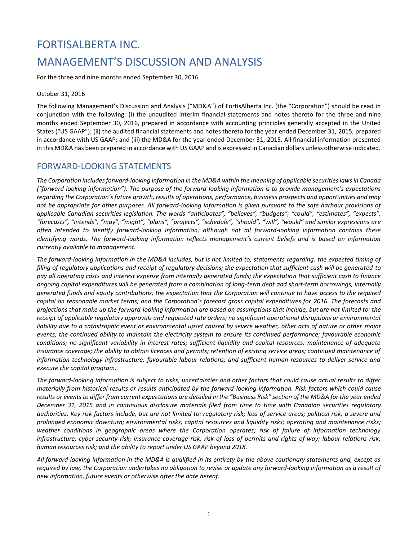# FORTISALBERTA INC. MANAGEMENT'S DISCUSSION AND ANALYSIS

For the three and nine months ended September 30, 2016

### October 31, 2016

The following Management's Discussion and Analysis ("MD&A") of FortisAlberta Inc. (the "Corporation") should be read in conjunction with the following: (i) the unaudited interim financial statements and notes thereto for the three and nine months ended September 30, 2016, prepared in accordance with accounting principles generally accepted in the United States ("US GAAP"); (ii) the audited financial statements and notes thereto for the year ended December 31, 2015, prepared in accordance with US GAAP; and (iii) the MD&A for the year ended December 31, 2015. All financial information presented in this MD&A has been prepared in accordance with US GAAP and is expressed in Canadian dollars unless otherwise indicated.

# FORWARD-LOOKING STATEMENTS

*The Corporation includes forward-looking information in the MD&A within the meaning of applicable securities laws in Canada ("forward-looking information"). The purpose of the forward-looking information is to provide management's expectations regarding the Corporation's future growth, results of operations, performance, business prospects and opportunities and may not be appropriate for other purposes. All forward-looking information is given pursuant to the safe harbour provisions of applicable Canadian securities legislation. The words "anticipates", "believes", "budgets", "could", "estimates", "expects", "forecasts", "intends", "may", "might", "plans", "projects", "schedule", "should", "will", "would" and similar expressions are often intended to identify forward-looking information, although not all forward-looking information contains these identifying words. The forward-looking information reflects management's current beliefs and is based on information currently available to management.*

*The forward-looking information in the MD&A includes, but is not limited to, statements regarding: the expected timing of filing of regulatory applications and receipt of regulatory decisions; the expectation that sufficient cash will be generated to pay all operating costs and interest expense from internally generated funds; the expectation that sufficient cash to finance ongoing capital expenditures will be generated from a combination of long-term debt and short-term borrowings, internally generated funds and equity contributions; the expectation that the Corporation will continue to have access to the required capital on reasonable market terms; and the Corporation's forecast gross capital expenditures for 2016. The forecasts and projections that make up the forward-looking information are based on assumptions that include, but are not limited to: the receipt of applicable regulatory approvals and requested rate orders; no significant operational disruptions or environmental liability due to a catastrophic event or environmental upset caused by severe weather, other acts of nature or other major events; the continued ability to maintain the electricity system to ensure its continued performance; favourable economic conditions; no significant variability in interest rates; sufficient liquidity and capital resources; maintenance of adequate insurance coverage; the ability to obtain licences and permits; retention of existing service areas; continued maintenance of information technology infrastructure; favourable labour relations; and sufficient human resources to deliver service and execute the capital program.* 

*The forward-looking information is subject to risks, uncertainties and other factors that could cause actual results to differ materially from historical results or results anticipated by the forward-looking information. Risk factors which could cause results or events to differ from current expectations are detailed in the "Business Risk" section of the MD&A for the year ended December 31, 2015 and in continuous disclosure materials filed from time to time with Canadian securities regulatory authorities. Key risk factors include, but are not limited to: regulatory risk; loss of service areas; political risk; a severe and prolonged economic downturn; environmental risks; capital resources and liquidity risks; operating and maintenance risks; weather conditions in geographic areas where the Corporation operates; risk of failure of information technology infrastructure; cyber-security risk; insurance coverage risk; risk of loss of permits and rights-of-way; labour relations risk; human resources risk; and the ability to report under US GAAP beyond 2018.*

*All forward-looking information in the MD&A is qualified in its entirety by the above cautionary statements and, except as required by law, the Corporation undertakes no obligation to revise or update any forward-looking information as a result of new information, future events or otherwise after the date hereof.*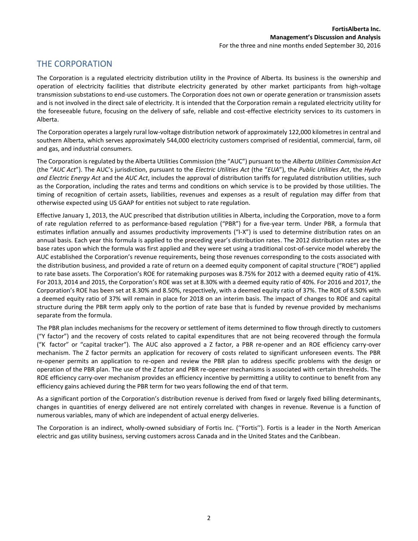# THE CORPORATION

The Corporation is a regulated electricity distribution utility in the Province of Alberta. Its business is the ownership and operation of electricity facilities that distribute electricity generated by other market participants from high-voltage transmission substations to end-use customers. The Corporation does not own or operate generation or transmission assets and is not involved in the direct sale of electricity. It is intended that the Corporation remain a regulated electricity utility for the foreseeable future, focusing on the delivery of safe, reliable and cost-effective electricity services to its customers in Alberta.

The Corporation operates a largely rural low-voltage distribution network of approximately 122,000 kilometres in central and southern Alberta, which serves approximately 544,000 electricity customers comprised of residential, commercial, farm, oil and gas, and industrial consumers.

The Corporation is regulated by the Alberta Utilities Commission (the "AUC") pursuant to the *Alberta Utilities Commission Act* (the "*AUC Act*"). The AUC's jurisdiction, pursuant to the *Electric Utilities Act* (the "*EUA*"), the *Public Utilities Act*, the *Hydro and Electric Energy Act* and the *AUC Act*, includes the approval of distribution tariffs for regulated distribution utilities, such as the Corporation, including the rates and terms and conditions on which service is to be provided by those utilities. The timing of recognition of certain assets, liabilities, revenues and expenses as a result of regulation may differ from that otherwise expected using US GAAP for entities not subject to rate regulation.

Effective January 1, 2013, the AUC prescribed that distribution utilities in Alberta, including the Corporation, move to a form of rate regulation referred to as performance-based regulation ("PBR") for a five-year term. Under PBR, a formula that estimates inflation annually and assumes productivity improvements ("I-X") is used to determine distribution rates on an annual basis. Each year this formula is applied to the preceding year's distribution rates. The 2012 distribution rates are the base rates upon which the formula was first applied and they were set using a traditional cost-of-service model whereby the AUC established the Corporation's revenue requirements, being those revenues corresponding to the costs associated with the distribution business, and provided a rate of return on a deemed equity component of capital structure ("ROE") applied to rate base assets. The Corporation's ROE for ratemaking purposes was 8.75% for 2012 with a deemed equity ratio of 41%. For 2013, 2014 and 2015, the Corporation's ROE was set at 8.30% with a deemed equity ratio of 40%. For 2016 and 2017, the Corporation's ROE has been set at 8.30% and 8.50%, respectively, with a deemed equity ratio of 37%. The ROE of 8.50% with a deemed equity ratio of 37% will remain in place for 2018 on an interim basis. The impact of changes to ROE and capital structure during the PBR term apply only to the portion of rate base that is funded by revenue provided by mechanisms separate from the formula.

The PBR plan includes mechanisms for the recovery or settlement of items determined to flow through directly to customers ("Y factor") and the recovery of costs related to capital expenditures that are not being recovered through the formula ("K factor" or "capital tracker"). The AUC also approved a Z factor, a PBR re-opener and an ROE efficiency carry-over mechanism. The Z factor permits an application for recovery of costs related to significant unforeseen events. The PBR re-opener permits an application to re-open and review the PBR plan to address specific problems with the design or operation of the PBR plan. The use of the Z factor and PBR re-opener mechanisms is associated with certain thresholds. The ROE efficiency carry-over mechanism provides an efficiency incentive by permitting a utility to continue to benefit from any efficiency gains achieved during the PBR term for two years following the end of that term.

As a significant portion of the Corporation's distribution revenue is derived from fixed or largely fixed billing determinants, changes in quantities of energy delivered are not entirely correlated with changes in revenue. Revenue is a function of numerous variables, many of which are independent of actual energy deliveries.

The Corporation is an indirect, wholly-owned subsidiary of Fortis Inc. (''Fortis''). Fortis is a leader in the North American electric and gas utility business, serving customers across Canada and in the United States and the Caribbean.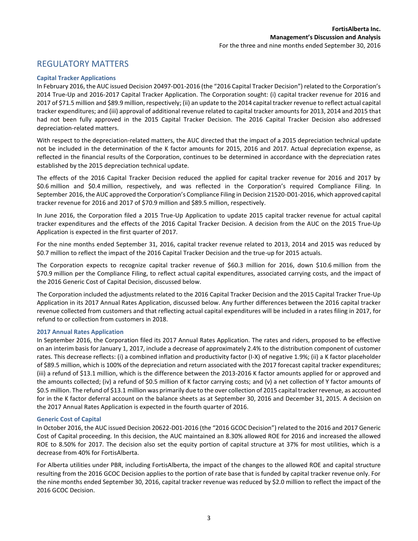# REGULATORY MATTERS

### **Capital Tracker Applications**

In February 2016, the AUC issued Decision 20497-D01-2016 (the "2016 Capital Tracker Decision") related to the Corporation's 2014 True-Up and 2016-2017 Capital Tracker Application. The Corporation sought: (i) capital tracker revenue for 2016 and 2017 of \$71.5 million and \$89.9 million, respectively; (ii) an update to the 2014 capital tracker revenue to reflect actual capital tracker expenditures; and (iii) approval of additional revenue related to capital tracker amounts for 2013, 2014 and 2015 that had not been fully approved in the 2015 Capital Tracker Decision. The 2016 Capital Tracker Decision also addressed depreciation-related matters.

With respect to the depreciation-related matters, the AUC directed that the impact of a 2015 depreciation technical update not be included in the determination of the K factor amounts for 2015, 2016 and 2017. Actual depreciation expense, as reflected in the financial results of the Corporation, continues to be determined in accordance with the depreciation rates established by the 2015 depreciation technical update.

The effects of the 2016 Capital Tracker Decision reduced the applied for capital tracker revenue for 2016 and 2017 by \$0.6 million and \$0.4 million, respectively, and was reflected in the Corporation's required Compliance Filing. In September 2016, the AUC approved the Corporation's Compliance Filing in Decision 21520-D01-2016, which approved capital tracker revenue for 2016 and 2017 of \$70.9 million and \$89.5 million, respectively.

In June 2016, the Corporation filed a 2015 True-Up Application to update 2015 capital tracker revenue for actual capital tracker expenditures and the effects of the 2016 Capital Tracker Decision. A decision from the AUC on the 2015 True-Up Application is expected in the first quarter of 2017.

For the nine months ended September 31, 2016, capital tracker revenue related to 2013, 2014 and 2015 was reduced by \$0.7 million to reflect the impact of the 2016 Capital Tracker Decision and the true-up for 2015 actuals.

The Corporation expects to recognize capital tracker revenue of \$60.3 million for 2016, down \$10.6 million from the \$70.9 million per the Compliance Filing, to reflect actual capital expenditures, associated carrying costs, and the impact of the 2016 Generic Cost of Capital Decision, discussed below.

The Corporation included the adjustments related to the 2016 Capital Tracker Decision and the 2015 Capital Tracker True-Up Application in its 2017 Annual Rates Application, discussed below. Any further differences between the 2016 capital tracker revenue collected from customers and that reflecting actual capital expenditures will be included in a rates filing in 2017, for refund to or collection from customers in 2018.

#### **2017 Annual Rates Application**

In September 2016, the Corporation filed its 2017 Annual Rates Application. The rates and riders, proposed to be effective on an interim basis for January 1, 2017, include a decrease of approximately 2.4% to the distribution component of customer rates. This decrease reflects: (i) a combined inflation and productivity factor (I-X) of negative 1.9%; (ii) a K factor placeholder of \$89.5 million, which is 100% of the depreciation and return associated with the 2017 forecast capital tracker expenditures; (iii) a refund of \$13.1 million, which is the difference between the 2013-2016 K factor amounts applied for or approved and the amounts collected; (iv) a refund of \$0.5 million of K factor carrying costs; and (v) a net collection of Y factor amounts of \$0.5 million. The refund of \$13.1 million was primarily due to the over collection of 2015 capital tracker revenue, as accounted for in the K factor deferral account on the balance sheets as at September 30, 2016 and December 31, 2015. A decision on the 2017 Annual Rates Application is expected in the fourth quarter of 2016.

#### **Generic Cost of Capital**

In October 2016, the AUC issued Decision 20622-D01-2016 (the "2016 GCOC Decision") related to the 2016 and 2017 Generic Cost of Capital proceeding. In this decision, the AUC maintained an 8.30% allowed ROE for 2016 and increased the allowed ROE to 8.50% for 2017. The decision also set the equity portion of capital structure at 37% for most utilities, which is a decrease from 40% for FortisAlberta.

For Alberta utilities under PBR, including FortisAlberta, the impact of the changes to the allowed ROE and capital structure resulting from the 2016 GCOC Decision applies to the portion of rate base that is funded by capital tracker revenue only. For the nine months ended September 30, 2016, capital tracker revenue was reduced by \$2.0 million to reflect the impact of the 2016 GCOC Decision.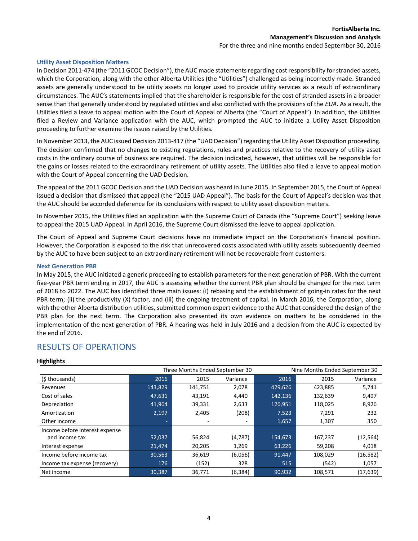#### **Utility Asset Disposition Matters**

In Decision 2011-474 (the "2011 GCOC Decision"), the AUC made statements regarding cost responsibility for stranded assets, which the Corporation, along with the other Alberta Utilities (the "Utilities") challenged as being incorrectly made. Stranded assets are generally understood to be utility assets no longer used to provide utility services as a result of extraordinary circumstances. The AUC's statements implied that the shareholder is responsible for the cost of stranded assets in a broader sense than that generally understood by regulated utilities and also conflicted with the provisions of the *EUA*. As a result, the Utilities filed a leave to appeal motion with the Court of Appeal of Alberta (the "Court of Appeal"). In addition, the Utilities filed a Review and Variance application with the AUC, which prompted the AUC to initiate a Utility Asset Disposition proceeding to further examine the issues raised by the Utilities.

In November 2013, the AUC issued Decision 2013-417 (the "UAD Decision") regarding the Utility Asset Disposition proceeding. The decision confirmed that no changes to existing regulations, rules and practices relative to the recovery of utility asset costs in the ordinary course of business are required. The decision indicated, however, that utilities will be responsible for the gains or losses related to the extraordinary retirement of utility assets. The Utilities also filed a leave to appeal motion with the Court of Appeal concerning the UAD Decision.

The appeal of the 2011 GCOC Decision and the UAD Decision was heard in June 2015. In September 2015, the Court of Appeal issued a decision that dismissed that appeal (the "2015 UAD Appeal"). The basis for the Court of Appeal's decision was that the AUC should be accorded deference for its conclusions with respect to utility asset disposition matters.

In November 2015, the Utilities filed an application with the Supreme Court of Canada (the "Supreme Court") seeking leave to appeal the 2015 UAD Appeal. In April 2016, the Supreme Court dismissed the leave to appeal application.

The Court of Appeal and Supreme Court decisions have no immediate impact on the Corporation's financial position. However, the Corporation is exposed to the risk that unrecovered costs associated with utility assets subsequently deemed by the AUC to have been subject to an extraordinary retirement will not be recoverable from customers.

#### **Next Generation PBR**

In May 2015, the AUC initiated a generic proceeding to establish parameters for the next generation of PBR. With the current five-year PBR term ending in 2017, the AUC is assessing whether the current PBR plan should be changed for the next term of 2018 to 2022. The AUC has identified three main issues: (i) rebasing and the establishment of going-in rates for the next PBR term; (ii) the productivity (X) factor, and (iii) the ongoing treatment of capital. In March 2016, the Corporation, along with the other Alberta distribution utilities, submitted common expert evidence to the AUC that considered the design of the PBR plan for the next term. The Corporation also presented its own evidence on matters to be considered in the implementation of the next generation of PBR. A hearing was held in July 2016 and a decision from the AUC is expected by the end of 2016.

### RESULTS OF OPERATIONS

#### **Highlights**

| Three Months Ended September 30<br>Nine Months Ended September 30 |         |         |          |         |         |           |
|-------------------------------------------------------------------|---------|---------|----------|---------|---------|-----------|
| (\$ thousands)                                                    | 2016    | 2015    | Variance | 2016    | 2015    | Variance  |
| Revenues                                                          | 143,829 | 141,751 | 2,078    | 429,626 | 423,885 | 5,741     |
| Cost of sales                                                     | 47,631  | 43,191  | 4,440    | 142,136 | 132,639 | 9,497     |
| Depreciation                                                      | 41,964  | 39,331  | 2,633    | 126,951 | 118,025 | 8,926     |
| Amortization                                                      | 2,197   | 2,405   | (208)    | 7,523   | 7,291   | 232       |
| Other income                                                      |         |         | ۰        | 1,657   | 1,307   | 350       |
| Income before interest expense                                    |         |         |          |         |         |           |
| and income tax                                                    | 52,037  | 56,824  | (4,787)  | 154,673 | 167,237 | (12, 564) |
| Interest expense                                                  | 21,474  | 20,205  | 1,269    | 63,226  | 59,208  | 4,018     |
| Income before income tax                                          | 30,563  | 36,619  | (6,056)  | 91,447  | 108.029 | (16, 582) |
| Income tax expense (recovery)                                     | 176     | (152)   | 328      | 515     | (542)   | 1,057     |
| Net income                                                        | 30,387  | 36,771  | (6, 384) | 90,932  | 108.571 | (17,639)  |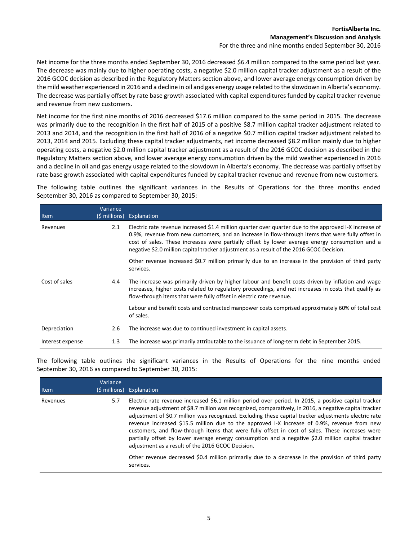Net income for the three months ended September 30, 2016 decreased \$6.4 million compared to the same period last year. The decrease was mainly due to higher operating costs, a negative \$2.0 million capital tracker adjustment as a result of the 2016 GCOC decision as described in the Regulatory Matters section above, and lower average energy consumption driven by the mild weather experienced in 2016 and a decline in oil and gas energy usage related to the slowdown in Alberta's economy. The decrease was partially offset by rate base growth associated with capital expenditures funded by capital tracker revenue and revenue from new customers.

Net income for the first nine months of 2016 decreased \$17.6 million compared to the same period in 2015. The decrease was primarily due to the recognition in the first half of 2015 of a positive \$8.7 million capital tracker adjustment related to 2013 and 2014, and the recognition in the first half of 2016 of a negative \$0.7 million capital tracker adjustment related to 2013, 2014 and 2015. Excluding these capital tracker adjustments, net income decreased \$8.2 million mainly due to higher operating costs, a negative \$2.0 million capital tracker adjustment as a result of the 2016 GCOC decision as described in the Regulatory Matters section above, and lower average energy consumption driven by the mild weather experienced in 2016 and a decline in oil and gas energy usage related to the slowdown in Alberta's economy. The decrease was partially offset by rate base growth associated with capital expenditures funded by capital tracker revenue and revenue from new customers.

The following table outlines the significant variances in the Results of Operations for the three months ended September 30, 2016 as compared to September 30, 2015:

| Item             | Variance<br>(\$ millions) | Explanation                                                                                                                                                                                                                                                                                                                                                                                               |
|------------------|---------------------------|-----------------------------------------------------------------------------------------------------------------------------------------------------------------------------------------------------------------------------------------------------------------------------------------------------------------------------------------------------------------------------------------------------------|
| Revenues         | 2.1                       | Electric rate revenue increased \$1.4 million quarter over quarter due to the approved I-X increase of<br>0.9%, revenue from new customers, and an increase in flow-through items that were fully offset in<br>cost of sales. These increases were partially offset by lower average energy consumption and a<br>negative \$2.0 million capital tracker adjustment as a result of the 2016 GCOC Decision. |
|                  |                           | Other revenue increased \$0.7 million primarily due to an increase in the provision of third party<br>services.                                                                                                                                                                                                                                                                                           |
| Cost of sales    | 4.4                       | The increase was primarily driven by higher labour and benefit costs driven by inflation and wage<br>increases, higher costs related to regulatory proceedings, and net increases in costs that qualify as<br>flow-through items that were fully offset in electric rate revenue.                                                                                                                         |
|                  |                           | Labour and benefit costs and contracted manpower costs comprised approximately 60% of total cost<br>of sales.                                                                                                                                                                                                                                                                                             |
| Depreciation     | 2.6                       | The increase was due to continued investment in capital assets.                                                                                                                                                                                                                                                                                                                                           |
| Interest expense | 1.3                       | The increase was primarily attributable to the issuance of long-term debt in September 2015.                                                                                                                                                                                                                                                                                                              |

The following table outlines the significant variances in the Results of Operations for the nine months ended September 30, 2016 as compared to September 30, 2015:

| Item     | Variance | (\$ millions) Explanation                                                                                                                                                                                                                                                                                                                                                                                                                                                                                                                                                                                                                                                            |
|----------|----------|--------------------------------------------------------------------------------------------------------------------------------------------------------------------------------------------------------------------------------------------------------------------------------------------------------------------------------------------------------------------------------------------------------------------------------------------------------------------------------------------------------------------------------------------------------------------------------------------------------------------------------------------------------------------------------------|
| Revenues | 5.7      | Electric rate revenue increased \$6.1 million period over period. In 2015, a positive capital tracker<br>revenue adjustment of \$8.7 million was recognized, comparatively, in 2016, a negative capital tracker<br>adjustment of \$0.7 million was recognized. Excluding these capital tracker adjustments electric rate<br>revenue increased \$15.5 million due to the approved I-X increase of 0.9%, revenue from new<br>customers, and flow-through items that were fully offset in cost of sales. These increases were<br>partially offset by lower average energy consumption and a negative \$2.0 million capital tracker<br>adjustment as a result of the 2016 GCOC Decision. |
|          |          | Other revenue decreased \$0.4 million primarily due to a decrease in the provision of third party<br>services.                                                                                                                                                                                                                                                                                                                                                                                                                                                                                                                                                                       |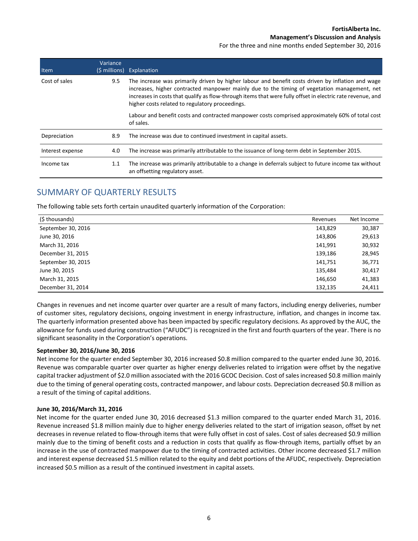For the three and nine months ended September 30, 2016

| Item             | Variance<br>(\$ millions) | Explanation                                                                                                                                                                                                                                                                                                                                                        |
|------------------|---------------------------|--------------------------------------------------------------------------------------------------------------------------------------------------------------------------------------------------------------------------------------------------------------------------------------------------------------------------------------------------------------------|
| Cost of sales    | 9.5                       | The increase was primarily driven by higher labour and benefit costs driven by inflation and wage<br>increases, higher contracted manpower mainly due to the timing of vegetation management, net<br>increases in costs that qualify as flow-through items that were fully offset in electric rate revenue, and<br>higher costs related to regulatory proceedings. |
|                  |                           | Labour and benefit costs and contracted manpower costs comprised approximately 60% of total cost<br>of sales.                                                                                                                                                                                                                                                      |
| Depreciation     | 8.9                       | The increase was due to continued investment in capital assets.                                                                                                                                                                                                                                                                                                    |
| Interest expense | 4.0                       | The increase was primarily attributable to the issuance of long-term debt in September 2015.                                                                                                                                                                                                                                                                       |
| Income tax       | 1.1                       | The increase was primarily attributable to a change in deferrals subject to future income tax without<br>an offsetting regulatory asset.                                                                                                                                                                                                                           |

# SUMMARY OF QUARTERLY RESULTS

The following table sets forth certain unaudited quarterly information of the Corporation:

| (\$ thousands)     | Revenues | Net Income |
|--------------------|----------|------------|
| September 30, 2016 | 143,829  | 30,387     |
| June 30, 2016      | 143,806  | 29,613     |
| March 31, 2016     | 141,991  | 30,932     |
| December 31, 2015  | 139,186  | 28,945     |
| September 30, 2015 | 141,751  | 36,771     |
| June 30, 2015      | 135,484  | 30,417     |
| March 31, 2015     | 146,650  | 41,383     |
| December 31, 2014  | 132,135  | 24,411     |

Changes in revenues and net income quarter over quarter are a result of many factors, including energy deliveries, number of customer sites, regulatory decisions, ongoing investment in energy infrastructure, inflation, and changes in income tax. The quarterly information presented above has been impacted by specific regulatory decisions. As approved by the AUC, the allowance for funds used during construction ("AFUDC") is recognized in the first and fourth quarters of the year. There is no significant seasonality in the Corporation's operations.

### **September 30, 2016/June 30, 2016**

Net income for the quarter ended September 30, 2016 increased \$0.8 million compared to the quarter ended June 30, 2016. Revenue was comparable quarter over quarter as higher energy deliveries related to irrigation were offset by the negative capital tracker adjustment of \$2.0 million associated with the 2016 GCOC Decision. Cost of sales increased \$0.8 million mainly due to the timing of general operating costs, contracted manpower, and labour costs. Depreciation decreased \$0.8 million as a result of the timing of capital additions.

#### **June 30, 2016/March 31, 2016**

Net income for the quarter ended June 30, 2016 decreased \$1.3 million compared to the quarter ended March 31, 2016. Revenue increased \$1.8 million mainly due to higher energy deliveries related to the start of irrigation season, offset by net decreases in revenue related to flow-through items that were fully offset in cost of sales. Cost of sales decreased \$0.9 million mainly due to the timing of benefit costs and a reduction in costs that qualify as flow-through items, partially offset by an increase in the use of contracted manpower due to the timing of contracted activities. Other income decreased \$1.7 million and interest expense decreased \$1.5 million related to the equity and debt portions of the AFUDC, respectively. Depreciation increased \$0.5 million as a result of the continued investment in capital assets.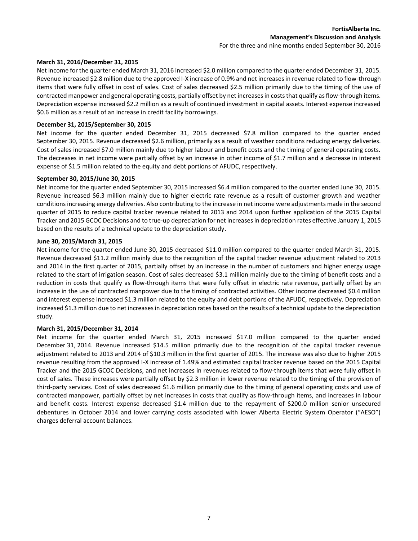#### **March 31, 2016/December 31, 2015**

Net income for the quarter ended March 31, 2016 increased \$2.0 million compared to the quarter ended December 31, 2015. Revenue increased \$2.8 million due to the approved I-X increase of 0.9% and net increases in revenue related to flow-through items that were fully offset in cost of sales. Cost of sales decreased \$2.5 million primarily due to the timing of the use of contracted manpower and general operating costs, partially offset by net increases in costs that qualify as flow-through items. Depreciation expense increased \$2.2 million as a result of continued investment in capital assets. Interest expense increased \$0.6 million as a result of an increase in credit facility borrowings.

### **December 31, 2015/September 30, 2015**

Net income for the quarter ended December 31, 2015 decreased \$7.8 million compared to the quarter ended September 30, 2015. Revenue decreased \$2.6 million, primarily as a result of weather conditions reducing energy deliveries. Cost of sales increased \$7.0 million mainly due to higher labour and benefit costs and the timing of general operating costs. The decreases in net income were partially offset by an increase in other income of \$1.7 million and a decrease in interest expense of \$1.5 million related to the equity and debt portions of AFUDC, respectively.

### **September 30, 2015/June 30, 2015**

Net income for the quarter ended September 30, 2015 increased \$6.4 million compared to the quarter ended June 30, 2015. Revenue increased \$6.3 million mainly due to higher electric rate revenue as a result of customer growth and weather conditions increasing energy deliveries. Also contributing to the increase in net income were adjustments made in the second quarter of 2015 to reduce capital tracker revenue related to 2013 and 2014 upon further application of the 2015 Capital Tracker and 2015 GCOC Decisions and to true-up depreciation for net increases in depreciation rates effective January 1, 2015 based on the results of a technical update to the depreciation study.

### **June 30, 2015/March 31, 2015**

Net income for the quarter ended June 30, 2015 decreased \$11.0 million compared to the quarter ended March 31, 2015. Revenue decreased \$11.2 million mainly due to the recognition of the capital tracker revenue adjustment related to 2013 and 2014 in the first quarter of 2015, partially offset by an increase in the number of customers and higher energy usage related to the start of irrigation season. Cost of sales decreased \$3.1 million mainly due to the timing of benefit costs and a reduction in costs that qualify as flow-through items that were fully offset in electric rate revenue, partially offset by an increase in the use of contracted manpower due to the timing of contracted activities. Other income decreased \$0.4 million and interest expense increased \$1.3 million related to the equity and debt portions of the AFUDC, respectively. Depreciation increased \$1.3 million due to net increases in depreciation rates based on the results of a technical update to the depreciation study.

### **March 31, 2015/December 31, 2014**

Net income for the quarter ended March 31, 2015 increased \$17.0 million compared to the quarter ended December 31, 2014. Revenue increased \$14.5 million primarily due to the recognition of the capital tracker revenue adjustment related to 2013 and 2014 of \$10.3 million in the first quarter of 2015. The increase was also due to higher 2015 revenue resulting from the approved I-X increase of 1.49% and estimated capital tracker revenue based on the 2015 Capital Tracker and the 2015 GCOC Decisions, and net increases in revenues related to flow-through items that were fully offset in cost of sales. These increases were partially offset by \$2.3 million in lower revenue related to the timing of the provision of third-party services. Cost of sales decreased \$1.6 million primarily due to the timing of general operating costs and use of contracted manpower, partially offset by net increases in costs that qualify as flow-through items, and increases in labour and benefit costs. Interest expense decreased \$1.4 million due to the repayment of \$200.0 million senior unsecured debentures in October 2014 and lower carrying costs associated with lower Alberta Electric System Operator ("AESO") charges deferral account balances.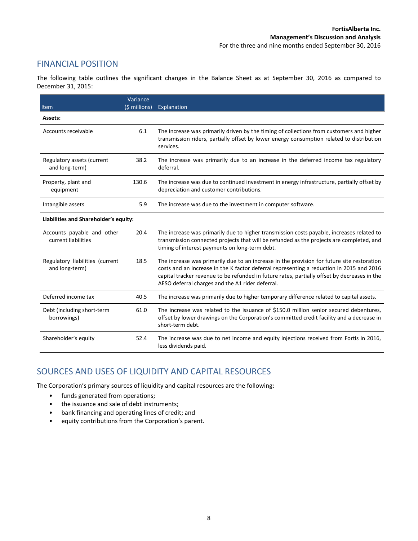# FINANCIAL POSITION

The following table outlines the significant changes in the Balance Sheet as at September 30, 2016 as compared to December 31, 2015:

| Item                                              | Variance<br>(\$ millions) | Explanation                                                                                                                                                                                                                                                                                                                                |
|---------------------------------------------------|---------------------------|--------------------------------------------------------------------------------------------------------------------------------------------------------------------------------------------------------------------------------------------------------------------------------------------------------------------------------------------|
| Assets:                                           |                           |                                                                                                                                                                                                                                                                                                                                            |
| Accounts receivable                               | 6.1                       | The increase was primarily driven by the timing of collections from customers and higher<br>transmission riders, partially offset by lower energy consumption related to distribution<br>services.                                                                                                                                         |
| Regulatory assets (current<br>and long-term)      | 38.2                      | The increase was primarily due to an increase in the deferred income tax regulatory<br>deferral.                                                                                                                                                                                                                                           |
| Property, plant and<br>equipment                  | 130.6                     | The increase was due to continued investment in energy infrastructure, partially offset by<br>depreciation and customer contributions.                                                                                                                                                                                                     |
| Intangible assets                                 | 5.9                       | The increase was due to the investment in computer software.                                                                                                                                                                                                                                                                               |
| Liabilities and Shareholder's equity:             |                           |                                                                                                                                                                                                                                                                                                                                            |
| Accounts payable and other<br>current liabilities | 20.4                      | The increase was primarily due to higher transmission costs payable, increases related to<br>transmission connected projects that will be refunded as the projects are completed, and<br>timing of interest payments on long-term debt.                                                                                                    |
| Regulatory liabilities (current<br>and long-term) | 18.5                      | The increase was primarily due to an increase in the provision for future site restoration<br>costs and an increase in the K factor deferral representing a reduction in 2015 and 2016<br>capital tracker revenue to be refunded in future rates, partially offset by decreases in the<br>AESO deferral charges and the A1 rider deferral. |
| Deferred income tax                               | 40.5                      | The increase was primarily due to higher temporary difference related to capital assets.                                                                                                                                                                                                                                                   |
| Debt (including short-term<br>borrowings)         | 61.0                      | The increase was related to the issuance of \$150.0 million senior secured debentures,<br>offset by lower drawings on the Corporation's committed credit facility and a decrease in<br>short-term debt.                                                                                                                                    |
| Shareholder's equity                              | 52.4                      | The increase was due to net income and equity injections received from Fortis in 2016,<br>less dividends paid.                                                                                                                                                                                                                             |

# SOURCES AND USES OF LIQUIDITY AND CAPITAL RESOURCES

The Corporation's primary sources of liquidity and capital resources are the following:

- funds generated from operations;
- the issuance and sale of debt instruments;
- bank financing and operating lines of credit; and
- equity contributions from the Corporation's parent.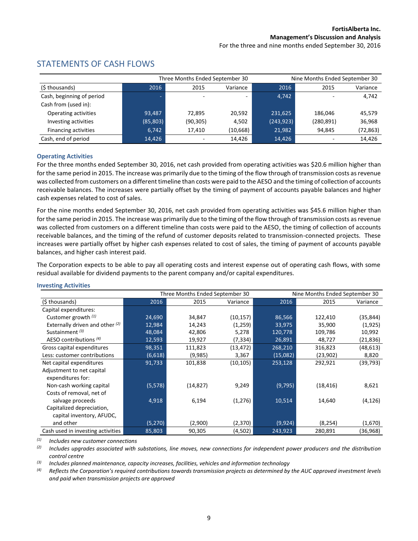### Three Months Ended September 30 Nine Months Ended September 30 (\$ thousands) 2016 2015 Variance 2016 2015 Variance Cash, beginning of period  $\overline{a}$  -  $\overline{a}$  -  $\overline{a}$  -  $\overline{a}$  -  $\overline{a}$  -  $\overline{a}$  -  $\overline{a}$  -  $\overline{a}$  -  $\overline{a}$  -  $\overline{a}$  -  $\overline{a}$  -  $\overline{a}$  -  $\overline{a}$  -  $\overline{a}$  -  $\overline{a}$  -  $\overline{a}$  -  $\overline{a}$  -  $\overline{a}$ Cash from (used in): Operating activities **93,487** 72,895 20,592 231,625 186,046 45,579 Investing activities (85,803) (90,305) 4,502 (243,923) (280,891) 36,968 Financing activities **6,742** 17,410 (10,668) 21,982 94,845 (72,863) Cash, end of period 14,426 14,426 14,426 14,426 14,426 14,426 14,426 14,426

# STATEMENTS OF CASH FLOWS

### **Operating Activities**

For the three months ended September 30, 2016, net cash provided from operating activities was \$20.6 million higher than for the same period in 2015. The increase was primarily due to the timing of the flow through of transmission costs as revenue was collected from customers on a different timeline than costs were paid to the AESO and the timing of collection of accounts receivable balances. The increases were partially offset by the timing of payment of accounts payable balances and higher cash expenses related to cost of sales.

For the nine months ended September 30, 2016, net cash provided from operating activities was \$45.6 million higher than for the same period in 2015. The increase was primarily due to the timing of the flow through of transmission costs as revenue was collected from customers on a different timeline than costs were paid to the AESO, the timing of collection of accounts receivable balances, and the timing of the refund of customer deposits related to transmission-connected projects. These increases were partially offset by higher cash expenses related to cost of sales, the timing of payment of accounts payable balances, and higher cash interest paid.

The Corporation expects to be able to pay all operating costs and interest expense out of operating cash flows, with some residual available for dividend payments to the parent company and/or capital expenditures.

### **Investing Activities**

|                                   |          | Three Months Ended September 30 |           |          | Nine Months Ended September 30 |           |
|-----------------------------------|----------|---------------------------------|-----------|----------|--------------------------------|-----------|
| (\$ thousands)                    | 2016     | 2015                            | Variance  | 2016     | 2015                           | Variance  |
| Capital expenditures:             |          |                                 |           |          |                                |           |
| Customer growth $(1)$             | 24,690   | 34,847                          | (10, 157) | 86,566   | 122,410                        | (35, 844) |
| Externally driven and other $(2)$ | 12,984   | 14,243                          | (1,259)   | 33,975   | 35,900                         | (1,925)   |
| Sustainment $(3)$                 | 48,084   | 42,806                          | 5,278     | 120,778  | 109,786                        | 10,992    |
| AESO contributions (4)            | 12,593   | 19,927                          | (7, 334)  | 26,891   | 48,727                         | (21, 836) |
| Gross capital expenditures        | 98,351   | 111,823                         | (13, 472) | 268,210  | 316,823                        | (48, 613) |
| Less: customer contributions      | (6,618)  | (9,985)                         | 3,367     | (15,082) | (23,902)                       | 8,820     |
| Net capital expenditures          | 91,733   | 101,838                         | (10, 105) | 253,128  | 292,921                        | (39, 793) |
| Adjustment to net capital         |          |                                 |           |          |                                |           |
| expenditures for:                 |          |                                 |           |          |                                |           |
| Non-cash working capital          | (5, 578) | (14, 827)                       | 9,249     | (9,795)  | (18, 416)                      | 8,621     |
| Costs of removal, net of          |          |                                 |           |          |                                |           |
| salvage proceeds                  | 4,918    | 6,194                           | (1,276)   | 10,514   | 14,640                         | (4, 126)  |
| Capitalized depreciation,         |          |                                 |           |          |                                |           |
| capital inventory, AFUDC,         |          |                                 |           |          |                                |           |
| and other                         | (5,270)  | (2,900)                         | (2,370)   | (9,924)  | (8, 254)                       | (1,670)   |
| Cash used in investing activities | 85,803   | 90,305                          | (4,502)   | 243,923  | 280,891                        | (36,968)  |

*(1) Includes new customer connections*

*(2) Includes upgrades associated with substations, line moves, new connections for independent power producers and the distribution control centre*

*(3) Includes planned maintenance, capacity increases, facilities, vehicles and information technology*

<sup>(4)</sup> Reflects the Corporation's required contributions towards transmission projects as determined by the AUC approved investment levels *and paid when transmission projects are approved*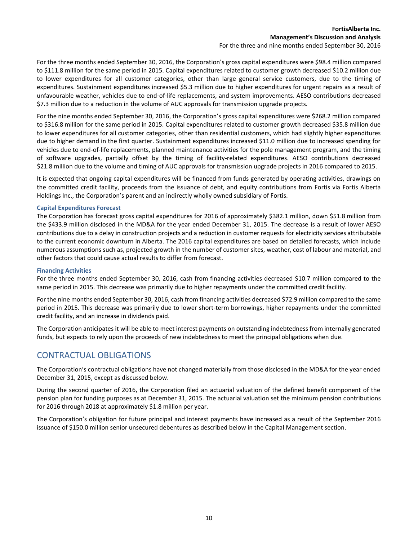### **FortisAlberta Inc. Management's Discussion and Analysis**

For the three and nine months ended September 30, 2016

For the three months ended September 30, 2016, the Corporation's gross capital expenditures were \$98.4 million compared to \$111.8 million for the same period in 2015. Capital expenditures related to customer growth decreased \$10.2 million due to lower expenditures for all customer categories, other than large general service customers, due to the timing of expenditures. Sustainment expenditures increased \$5.3 million due to higher expenditures for urgent repairs as a result of unfavourable weather, vehicles due to end-of-life replacements, and system improvements. AESO contributions decreased \$7.3 million due to a reduction in the volume of AUC approvals for transmission upgrade projects.

For the nine months ended September 30, 2016, the Corporation's gross capital expenditures were \$268.2 million compared to \$316.8 million for the same period in 2015. Capital expenditures related to customer growth decreased \$35.8 million due to lower expenditures for all customer categories, other than residential customers, which had slightly higher expenditures due to higher demand in the first quarter. Sustainment expenditures increased \$11.0 million due to increased spending for vehicles due to end-of-life replacements, planned maintenance activities for the pole management program, and the timing of software upgrades, partially offset by the timing of facility-related expenditures. AESO contributions decreased \$21.8 million due to the volume and timing of AUC approvals for transmission upgrade projects in 2016 compared to 2015.

It is expected that ongoing capital expenditures will be financed from funds generated by operating activities, drawings on the committed credit facility, proceeds from the issuance of debt, and equity contributions from Fortis via Fortis Alberta Holdings Inc., the Corporation's parent and an indirectly wholly owned subsidiary of Fortis.

### **Capital Expenditures Forecast**

The Corporation has forecast gross capital expenditures for 2016 of approximately \$382.1 million, down \$51.8 million from the \$433.9 million disclosed in the MD&A for the year ended December 31, 2015. The decrease is a result of lower AESO contributions due to a delay in construction projects and a reduction in customer requests for electricity services attributable to the current economic downturn in Alberta. The 2016 capital expenditures are based on detailed forecasts, which include numerous assumptions such as, projected growth in the number of customer sites, weather, cost of labour and material, and other factors that could cause actual results to differ from forecast.

#### **Financing Activities**

For the three months ended September 30, 2016, cash from financing activities decreased \$10.7 million compared to the same period in 2015. This decrease was primarily due to higher repayments under the committed credit facility.

For the nine months ended September 30, 2016, cash from financing activities decreased \$72.9 million compared to the same period in 2015. This decrease was primarily due to lower short-term borrowings, higher repayments under the committed credit facility, and an increase in dividends paid.

The Corporation anticipates it will be able to meet interest payments on outstanding indebtedness from internally generated funds, but expects to rely upon the proceeds of new indebtedness to meet the principal obligations when due.

# CONTRACTUAL OBLIGATIONS

The Corporation's contractual obligations have not changed materially from those disclosed in the MD&A for the year ended December 31, 2015, except as discussed below.

During the second quarter of 2016, the Corporation filed an actuarial valuation of the defined benefit component of the pension plan for funding purposes as at December 31, 2015. The actuarial valuation set the minimum pension contributions for 2016 through 2018 at approximately \$1.8 million per year.

The Corporation's obligation for future principal and interest payments have increased as a result of the September 2016 issuance of \$150.0 million senior unsecured debentures as described below in the Capital Management section.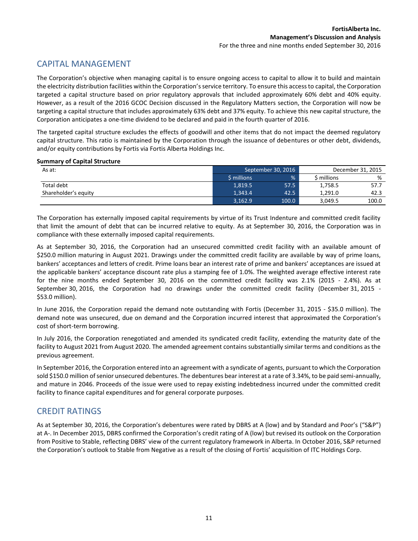# CAPITAL MANAGEMENT

The Corporation's objective when managing capital is to ensure ongoing access to capital to allow it to build and maintain the electricity distribution facilities within the Corporation's service territory. To ensure this access to capital, the Corporation targeted a capital structure based on prior regulatory approvals that included approximately 60% debt and 40% equity. However, as a result of the 2016 GCOC Decision discussed in the Regulatory Matters section, the Corporation will now be targeting a capital structure that includes approximately 63% debt and 37% equity. To achieve this new capital structure, the Corporation anticipates a one-time dividend to be declared and paid in the fourth quarter of 2016.

The targeted capital structure excludes the effects of goodwill and other items that do not impact the deemed regulatory capital structure. This ratio is maintained by the Corporation through the issuance of debentures or other debt, dividends, and/or equity contributions by Fortis via Fortis Alberta Holdings Inc.

### **Summary of Capital Structure**

| As at:               | September 30, 2016 |       |            | December 31, 2015 |
|----------------------|--------------------|-------|------------|-------------------|
|                      | \$ millions        | %     | millions ` | %                 |
| Total debt           | 1.819.5            | 57.5  | 1,758.5    | 57.7              |
| Shareholder's equity | 1.343.4            | 42.5  | 1.291.0    | 42.3              |
|                      | 3,162.9            | 100.0 | 3,049.5    | 100.0             |

The Corporation has externally imposed capital requirements by virtue of its Trust Indenture and committed credit facility that limit the amount of debt that can be incurred relative to equity. As at September 30, 2016, the Corporation was in compliance with these externally imposed capital requirements.

As at September 30, 2016, the Corporation had an unsecured committed credit facility with an available amount of \$250.0 million maturing in August 2021. Drawings under the committed credit facility are available by way of prime loans, bankers' acceptances and letters of credit. Prime loans bear an interest rate of prime and bankers' acceptances are issued at the applicable bankers' acceptance discount rate plus a stamping fee of 1.0%. The weighted average effective interest rate for the nine months ended September 30, 2016 on the committed credit facility was 2.1% (2015 - 2.4%). As at September 30, 2016, the Corporation had no drawings under the committed credit facility (December 31, 2015 - \$53.0 million).

In June 2016, the Corporation repaid the demand note outstanding with Fortis (December 31, 2015 - \$35.0 million). The demand note was unsecured, due on demand and the Corporation incurred interest that approximated the Corporation's cost of short-term borrowing.

In July 2016, the Corporation renegotiated and amended its syndicated credit facility, extending the maturity date of the facility to August 2021 from August 2020. The amended agreement contains substantially similar terms and conditions as the previous agreement.

In September 2016, the Corporation entered into an agreement with a syndicate of agents, pursuant to which the Corporation sold \$150.0 million of senior unsecured debentures. The debentures bear interest at a rate of 3.34%, to be paid semi-annually, and mature in 2046. Proceeds of the issue were used to repay existing indebtedness incurred under the committed credit facility to finance capital expenditures and for general corporate purposes.

# CREDIT RATINGS

As at September 30, 2016, the Corporation's debentures were rated by DBRS at A (low) and by Standard and Poor's ("S&P") at A-. In December 2015, DBRS confirmed the Corporation's credit rating of A (low) but revised its outlook on the Corporation from Positive to Stable, reflecting DBRS' view of the current regulatory framework in Alberta. In October 2016, S&P returned the Corporation's outlook to Stable from Negative as a result of the closing of Fortis' acquisition of ITC Holdings Corp.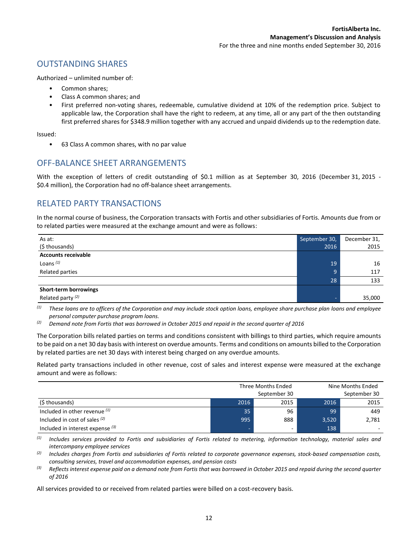# OUTSTANDING SHARES

Authorized – unlimited number of:

- Common shares:
- Class A common shares; and
- First preferred non-voting shares, redeemable, cumulative dividend at 10% of the redemption price. Subject to applicable law, the Corporation shall have the right to redeem, at any time, all or any part of the then outstanding first preferred shares for \$348.9 million together with any accrued and unpaid dividends up to the redemption date.

Issued:

• 63 Class A common shares, with no par value

# OFF-BALANCE SHEET ARRANGEMENTS

With the exception of letters of credit outstanding of \$0.1 million as at September 30, 2016 (December 31, 2015 - \$0.4 million), the Corporation had no off-balance sheet arrangements.

# RELATED PARTY TRANSACTIONS

In the normal course of business, the Corporation transacts with Fortis and other subsidiaries of Fortis. Amounts due from or to related parties were measured at the exchange amount and were as follows:

| As at:                       | September 30, | December 31, |
|------------------------------|---------------|--------------|
| (\$ thousands)               | 2016          | 2015         |
| <b>Accounts receivable</b>   |               |              |
| Loans $(1)$                  | 19            | 16           |
| Related parties              | 9             | 117          |
|                              | 28            | 133          |
| Short-term borrowings        |               |              |
| Related party <sup>(2)</sup> |               | 35,000       |

*(1) These loans are to officers of the Corporation and may include stock option loans, employee share purchase plan loans and employee personal computer purchase program loans.*

The Corporation bills related parties on terms and conditions consistent with billings to third parties, which require amounts to be paid on a net 30 day basis with interest on overdue amounts. Terms and conditions on amounts billed to the Corporation by related parties are net 30 days with interest being charged on any overdue amounts.

Related party transactions included in other revenue, cost of sales and interest expense were measured at the exchange amount and were as follows:

|                                    |      | Three Months Ended<br>September 30 |       | Nine Months Ended<br>September 30 |
|------------------------------------|------|------------------------------------|-------|-----------------------------------|
| (\$ thousands)                     | 2016 | 2015                               | 2016  | 2015                              |
| Included in other revenue $(1)$    | 35   | 96                                 | 99    | 449                               |
| Included in cost of sales $(2)$    | 995  | 888                                | 3,520 | 2,781                             |
| Included in interest expense $(3)$ | -    | -                                  | 138   |                                   |

*(1) Includes services provided to Fortis and subsidiaries of Fortis related to metering, information technology, material sales and intercompany employee services*

*(2) Includes charges from Fortis and subsidiaries of Fortis related to corporate governance expenses, stock-based compensation costs, consulting services, travel and accommodation expenses, and pension costs*

*(3) Reflects interest expense paid on a demand note from Fortis that was borrowed in October 2015 and repaid during the second quarter of 2016*

All services provided to or received from related parties were billed on a cost-recovery basis.

*<sup>(2)</sup> Demand note from Fortis that was borrowed in October 2015 and repaid in the second quarter of 2016*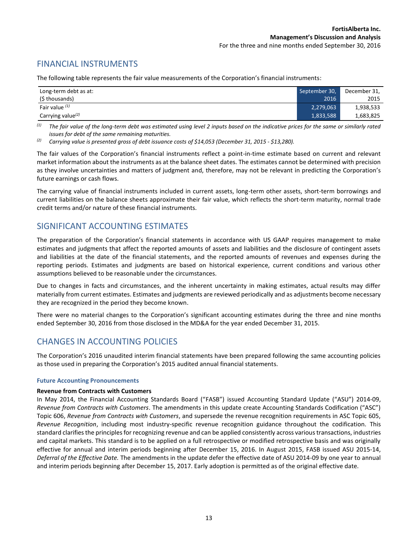# FINANCIAL INSTRUMENTS

The following table represents the fair value measurements of the Corporation's financial instruments:

| Long-term debt as at: | September 30, | December 31, |
|-----------------------|---------------|--------------|
| (\$ thousands)        | 2016          | 2015         |
| Fair value $(1)$      | 2,279,063     | 1,938,533    |
| Carrying value $(2)$  | 1,833,588     | 1,683,825    |

*(1) The fair value of the long-term debt was estimated using level 2 inputs based on the indicative prices for the same or similarly rated issues for debt of the same remaining maturities.* 

*(2) Carrying value is presented gross of debt issuance costs of \$14,053 (December 31, 2015 - \$13,280).*

The fair values of the Corporation's financial instruments reflect a point-in-time estimate based on current and relevant market information about the instruments as at the balance sheet dates. The estimates cannot be determined with precision as they involve uncertainties and matters of judgment and, therefore, may not be relevant in predicting the Corporation's future earnings or cash flows.

The carrying value of financial instruments included in current assets, long-term other assets, short-term borrowings and current liabilities on the balance sheets approximate their fair value, which reflects the short-term maturity, normal trade credit terms and/or nature of these financial instruments.

# SIGNIFICANT ACCOUNTING ESTIMATES

The preparation of the Corporation's financial statements in accordance with US GAAP requires management to make estimates and judgments that affect the reported amounts of assets and liabilities and the disclosure of contingent assets and liabilities at the date of the financial statements, and the reported amounts of revenues and expenses during the reporting periods. Estimates and judgments are based on historical experience, current conditions and various other assumptions believed to be reasonable under the circumstances.

Due to changes in facts and circumstances, and the inherent uncertainty in making estimates, actual results may differ materially from current estimates. Estimates and judgments are reviewed periodically and as adjustments become necessary they are recognized in the period they become known.

There were no material changes to the Corporation's significant accounting estimates during the three and nine months ended September 30, 2016 from those disclosed in the MD&A for the year ended December 31, 2015.

# CHANGES IN ACCOUNTING POLICIES

The Corporation's 2016 unaudited interim financial statements have been prepared following the same accounting policies as those used in preparing the Corporation's 2015 audited annual financial statements.

### **Future Accounting Pronouncements**

### **Revenue from Contracts with Customers**

In May 2014, the Financial Accounting Standards Board ("FASB") issued Accounting Standard Update ("ASU") 2014-09, *Revenue from Contracts with Customers*. The amendments in this update create Accounting Standards Codification ("ASC") Topic 606, *Revenue from Contracts with Customers*, and supersede the revenue recognition requirements in ASC Topic 605, *Revenue Recognition*, including most industry-specific revenue recognition guidance throughout the codification. This standard clarifies the principles for recognizing revenue and can be applied consistently across various transactions, industries and capital markets. This standard is to be applied on a full retrospective or modified retrospective basis and was originally effective for annual and interim periods beginning after December 15, 2016. In August 2015, FASB issued ASU 2015-14, *Deferral of the Effective Date.* The amendments in the update defer the effective date of ASU 2014-09 by one year to annual and interim periods beginning after December 15, 2017. Early adoption is permitted as of the original effective date.